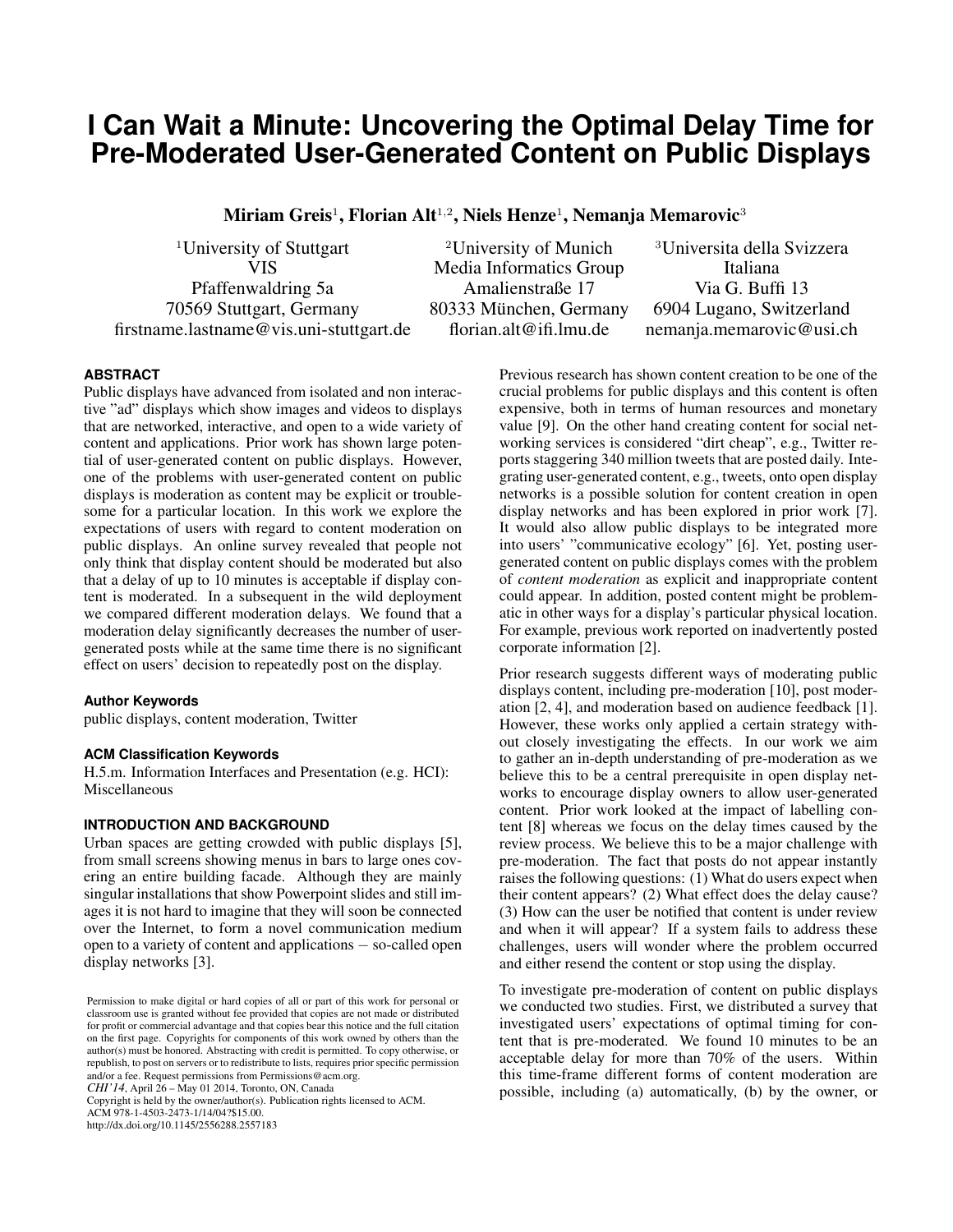# **I Can Wait a Minute: Uncovering the Optimal Delay Time for Pre-Moderated User-Generated Content on Public Displays**

Miriam Greis $^1$ , Florian Alt $^{1,2}$ , Niels Henze $^1$ , Nemanja Memarovic $^3$ 

firstname.lastname@vis.uni-stuttgart.de florian.alt@ifi.lmu.de nemanja.memarovic@usi.ch

<sup>1</sup>University of Stuttgart <sup>2</sup>University of Munich <sup>3</sup>Universita della Svizzera VIS Media Informatics Group Italiana Pfaffenwaldring 5a **Amalienstraße 17** Via G. Buffi 13 70569 Stuttgart, Germany 80333 Munchen, Germany 6904 Lugano, Switzerland ¨

## **ABSTRACT**

Public displays have advanced from isolated and non interactive "ad" displays which show images and videos to displays that are networked, interactive, and open to a wide variety of content and applications. Prior work has shown large potential of user-generated content on public displays. However, one of the problems with user-generated content on public displays is moderation as content may be explicit or troublesome for a particular location. In this work we explore the expectations of users with regard to content moderation on public displays. An online survey revealed that people not only think that display content should be moderated but also that a delay of up to 10 minutes is acceptable if display content is moderated. In a subsequent in the wild deployment we compared different moderation delays. We found that a moderation delay significantly decreases the number of usergenerated posts while at the same time there is no significant effect on users' decision to repeatedly post on the display.

## **Author Keywords**

public displays, content moderation, Twitter

## **ACM Classification Keywords**

H.5.m. Information Interfaces and Presentation (e.g. HCI): Miscellaneous

## **INTRODUCTION AND BACKGROUND**

Urban spaces are getting crowded with public displays [\[5\]](#page-3-0), from small screens showing menus in bars to large ones covering an entire building facade. Although they are mainly singular installations that show Powerpoint slides and still images it is not hard to imagine that they will soon be connected over the Internet, to form a novel communication medium open to a variety of content and applications − so-called open display networks [\[3\]](#page-3-1).

*CHI'14*, April 26 – May 01 2014, Toronto, ON, Canada

Copyright is held by the owner/author(s). Publication rights licensed to ACM.

ACM 978-1-4503-2473-1/14/04?\$15.00. http://dx.doi.org/10.1145/2556288.2557183 Previous research has shown content creation to be one of the crucial problems for public displays and this content is often expensive, both in terms of human resources and monetary value [\[9\]](#page-3-2). On the other hand creating content for social networking services is considered "dirt cheap", e.g., Twitter reports staggering 340 million tweets that are posted daily. Integrating user-generated content, e.g., tweets, onto open display networks is a possible solution for content creation in open display networks and has been explored in prior work [\[7\]](#page-3-3). It would also allow public displays to be integrated more into users' "communicative ecology" [\[6\]](#page-3-4). Yet, posting usergenerated content on public displays comes with the problem of *content moderation* as explicit and inappropriate content could appear. In addition, posted content might be problematic in other ways for a display's particular physical location. For example, previous work reported on inadvertently posted corporate information [\[2\]](#page-3-5).

Prior research suggests different ways of moderating public displays content, including pre-moderation [\[10\]](#page-3-6), post moderation [\[2,](#page-3-5) [4\]](#page-3-7), and moderation based on audience feedback [\[1\]](#page-3-8). However, these works only applied a certain strategy without closely investigating the effects. In our work we aim to gather an in-depth understanding of pre-moderation as we believe this to be a central prerequisite in open display networks to encourage display owners to allow user-generated content. Prior work looked at the impact of labelling content [\[8\]](#page-3-9) whereas we focus on the delay times caused by the review process. We believe this to be a major challenge with pre-moderation. The fact that posts do not appear instantly raises the following questions: (1) What do users expect when their content appears? (2) What effect does the delay cause? (3) How can the user be notified that content is under review and when it will appear? If a system fails to address these challenges, users will wonder where the problem occurred and either resend the content or stop using the display.

To investigate pre-moderation of content on public displays we conducted two studies. First, we distributed a survey that investigated users' expectations of optimal timing for content that is pre-moderated. We found 10 minutes to be an acceptable delay for more than 70% of the users. Within this time-frame different forms of content moderation are possible, including (a) automatically, (b) by the owner, or

Permission to make digital or hard copies of all or part of this work for personal or classroom use is granted without fee provided that copies are not made or distributed for profit or commercial advantage and that copies bear this notice and the full citation on the first page. Copyrights for components of this work owned by others than the author(s) must be honored. Abstracting with credit is permitted. To copy otherwise, or republish, to post on servers or to redistribute to lists, requires prior specific permission and/or a fee. Request permissions from Permissions@acm.org.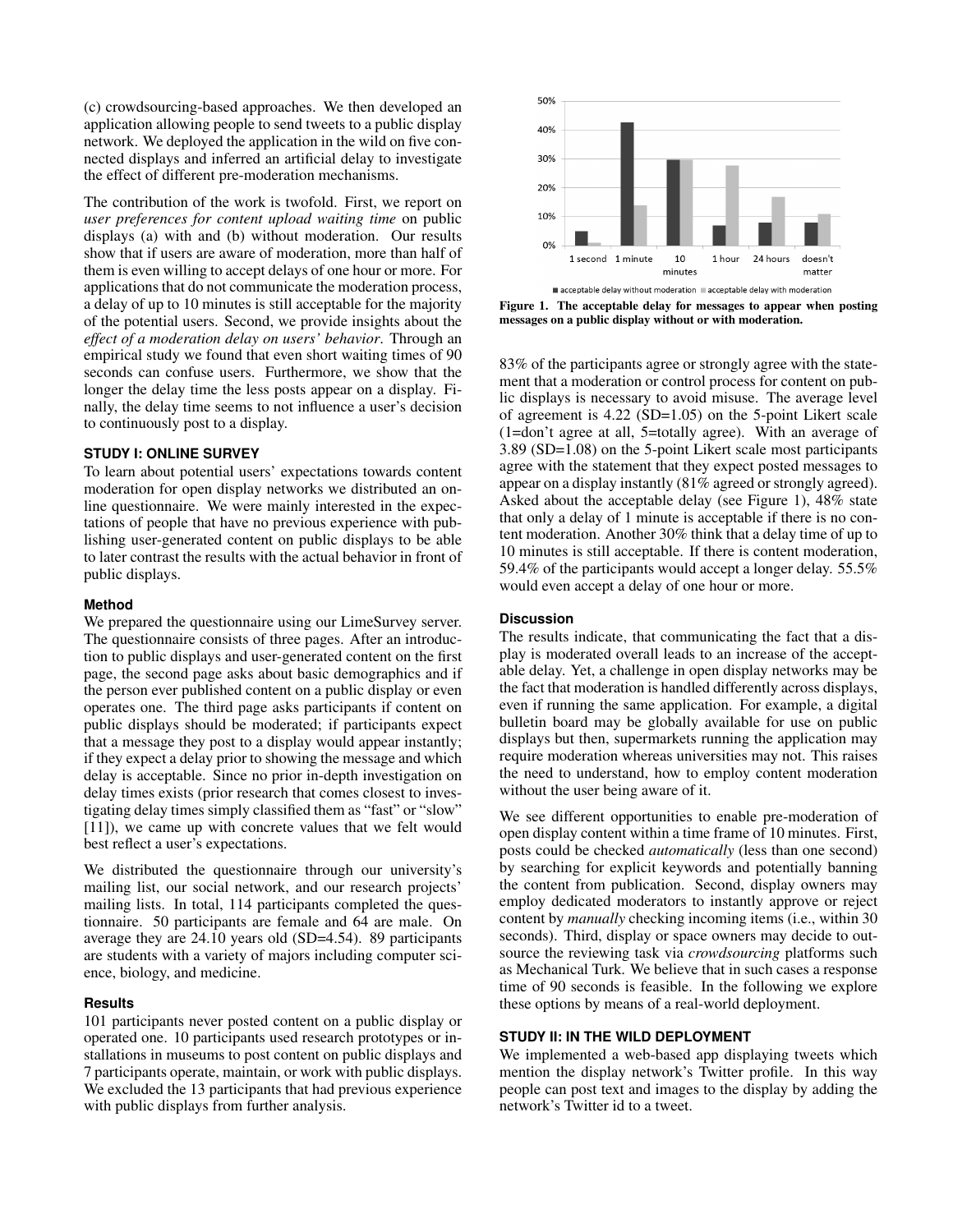(c) crowdsourcing-based approaches. We then developed an application allowing people to send tweets to a public display network. We deployed the application in the wild on five connected displays and inferred an artificial delay to investigate the effect of different pre-moderation mechanisms.

The contribution of the work is twofold. First, we report on *user preferences for content upload waiting time* on public displays (a) with and (b) without moderation. Our results show that if users are aware of moderation, more than half of them is even willing to accept delays of one hour or more. For applications that do not communicate the moderation process, a delay of up to 10 minutes is still acceptable for the majority of the potential users. Second, we provide insights about the *effect of a moderation delay on users' behavior*. Through an empirical study we found that even short waiting times of 90 seconds can confuse users. Furthermore, we show that the longer the delay time the less posts appear on a display. Finally, the delay time seems to not influence a user's decision to continuously post to a display.

## **STUDY I: ONLINE SURVEY**

To learn about potential users' expectations towards content moderation for open display networks we distributed an online questionnaire. We were mainly interested in the expectations of people that have no previous experience with publishing user-generated content on public displays to be able to later contrast the results with the actual behavior in front of public displays.

## **Method**

We prepared the questionnaire using our LimeSurvey server. The questionnaire consists of three pages. After an introduction to public displays and user-generated content on the first page, the second page asks about basic demographics and if the person ever published content on a public display or even operates one. The third page asks participants if content on public displays should be moderated; if participants expect that a message they post to a display would appear instantly; if they expect a delay prior to showing the message and which delay is acceptable. Since no prior in-depth investigation on delay times exists (prior research that comes closest to investigating delay times simply classified them as "fast" or "slow" [\[11\]](#page-3-10)), we came up with concrete values that we felt would best reflect a user's expectations.

We distributed the questionnaire through our university's mailing list, our social network, and our research projects' mailing lists. In total, 114 participants completed the questionnaire. 50 participants are female and 64 are male. On average they are 24.10 years old (SD=4.54). 89 participants are students with a variety of majors including computer science, biology, and medicine.

# **Results**

101 participants never posted content on a public display or operated one. 10 participants used research prototypes or installations in museums to post content on public displays and 7 participants operate, maintain, or work with public displays. We excluded the 13 participants that had previous experience with public displays from further analysis.



<span id="page-1-0"></span>Figure 1. The acceptable delay for messages to appear when posting messages on a public display without or with moderation.

83% of the participants agree or strongly agree with the statement that a moderation or control process for content on public displays is necessary to avoid misuse. The average level of agreement is 4.22 (SD=1.05) on the 5-point Likert scale (1=don't agree at all, 5=totally agree). With an average of 3.89 (SD=1.08) on the 5-point Likert scale most participants agree with the statement that they expect posted messages to appear on a display instantly (81% agreed or strongly agreed). Asked about the acceptable delay (see Figure [1\)](#page-1-0), 48% state that only a delay of 1 minute is acceptable if there is no content moderation. Another 30% think that a delay time of up to 10 minutes is still acceptable. If there is content moderation, 59.4% of the participants would accept a longer delay. 55.5% would even accept a delay of one hour or more.

#### **Discussion**

The results indicate, that communicating the fact that a display is moderated overall leads to an increase of the acceptable delay. Yet, a challenge in open display networks may be the fact that moderation is handled differently across displays, even if running the same application. For example, a digital bulletin board may be globally available for use on public displays but then, supermarkets running the application may require moderation whereas universities may not. This raises the need to understand, how to employ content moderation without the user being aware of it.

We see different opportunities to enable pre-moderation of open display content within a time frame of 10 minutes. First, posts could be checked *automatically* (less than one second) by searching for explicit keywords and potentially banning the content from publication. Second, display owners may employ dedicated moderators to instantly approve or reject content by *manually* checking incoming items (i.e., within 30 seconds). Third, display or space owners may decide to outsource the reviewing task via *crowdsourcing* platforms such as Mechanical Turk. We believe that in such cases a response time of 90 seconds is feasible. In the following we explore these options by means of a real-world deployment.

# **STUDY II: IN THE WILD DEPLOYMENT**

We implemented a web-based app displaying tweets which mention the display network's Twitter profile. In this way people can post text and images to the display by adding the network's Twitter id to a tweet.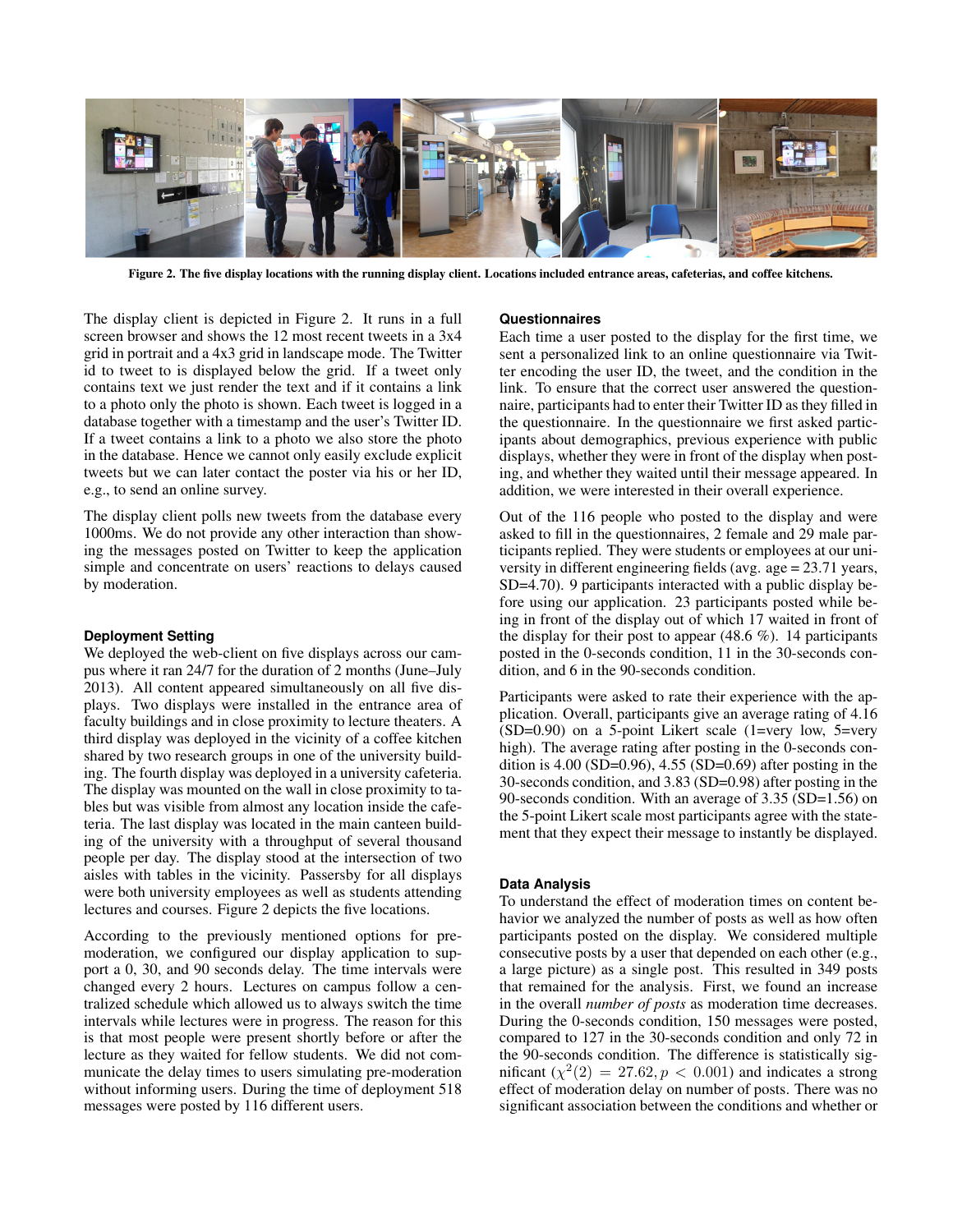

Figure 2. The five display locations with the running display client. Locations included entrance areas, cafeterias, and coffee kitchens.

<span id="page-2-0"></span>The display client is depicted in Figure [2.](#page-2-0) It runs in a full screen browser and shows the 12 most recent tweets in a 3x4 grid in portrait and a 4x3 grid in landscape mode. The Twitter id to tweet to is displayed below the grid. If a tweet only contains text we just render the text and if it contains a link to a photo only the photo is shown. Each tweet is logged in a database together with a timestamp and the user's Twitter ID. If a tweet contains a link to a photo we also store the photo in the database. Hence we cannot only easily exclude explicit tweets but we can later contact the poster via his or her ID, e.g., to send an online survey.

The display client polls new tweets from the database every 1000ms. We do not provide any other interaction than showing the messages posted on Twitter to keep the application simple and concentrate on users' reactions to delays caused by moderation.

## **Deployment Setting**

We deployed the web-client on five displays across our campus where it ran 24/7 for the duration of 2 months (June–July 2013). All content appeared simultaneously on all five displays. Two displays were installed in the entrance area of faculty buildings and in close proximity to lecture theaters. A third display was deployed in the vicinity of a coffee kitchen shared by two research groups in one of the university building. The fourth display was deployed in a university cafeteria. The display was mounted on the wall in close proximity to tables but was visible from almost any location inside the cafeteria. The last display was located in the main canteen building of the university with a throughput of several thousand people per day. The display stood at the intersection of two aisles with tables in the vicinity. Passersby for all displays were both university employees as well as students attending lectures and courses. Figure [2](#page-2-0) depicts the five locations.

According to the previously mentioned options for premoderation, we configured our display application to support a 0, 30, and 90 seconds delay. The time intervals were changed every 2 hours. Lectures on campus follow a centralized schedule which allowed us to always switch the time intervals while lectures were in progress. The reason for this is that most people were present shortly before or after the lecture as they waited for fellow students. We did not communicate the delay times to users simulating pre-moderation without informing users. During the time of deployment 518 messages were posted by 116 different users.

#### **Questionnaires**

Each time a user posted to the display for the first time, we sent a personalized link to an online questionnaire via Twitter encoding the user ID, the tweet, and the condition in the link. To ensure that the correct user answered the questionnaire, participants had to enter their Twitter ID as they filled in the questionnaire. In the questionnaire we first asked participants about demographics, previous experience with public displays, whether they were in front of the display when posting, and whether they waited until their message appeared. In addition, we were interested in their overall experience.

Out of the 116 people who posted to the display and were asked to fill in the questionnaires, 2 female and 29 male participants replied. They were students or employees at our university in different engineering fields (avg. age = 23.71 years, SD=4.70). 9 participants interacted with a public display before using our application. 23 participants posted while being in front of the display out of which 17 waited in front of the display for their post to appear  $(48.6\%)$ . 14 participants posted in the 0-seconds condition, 11 in the 30-seconds condition, and 6 in the 90-seconds condition.

Participants were asked to rate their experience with the application. Overall, participants give an average rating of 4.16  $(SD=0.90)$  on a 5-point Likert scale (1=very low, 5=very high). The average rating after posting in the 0-seconds condition is  $4.00$  (SD=0.96),  $4.55$  (SD=0.69) after posting in the 30-seconds condition, and 3.83 (SD=0.98) after posting in the 90-seconds condition. With an average of 3.35 (SD=1.56) on the 5-point Likert scale most participants agree with the statement that they expect their message to instantly be displayed.

## **Data Analysis**

To understand the effect of moderation times on content behavior we analyzed the number of posts as well as how often participants posted on the display. We considered multiple consecutive posts by a user that depended on each other (e.g., a large picture) as a single post. This resulted in 349 posts that remained for the analysis. First, we found an increase in the overall *number of posts* as moderation time decreases. During the 0-seconds condition, 150 messages were posted, compared to 127 in the 30-seconds condition and only 72 in the 90-seconds condition. The difference is statistically significant  $(\chi^2(2) = 27.62, p < 0.001)$  and indicates a strong effect of moderation delay on number of posts. There was no significant association between the conditions and whether or